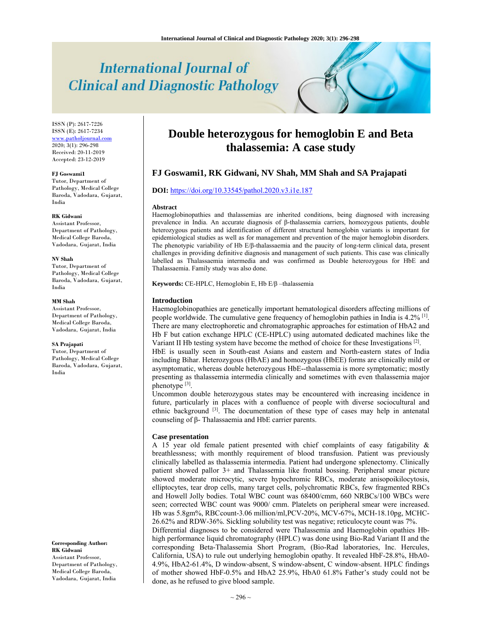# **International Journal of Clinical and Diagnostic Pathology**

ISSN (P): 2617-7226 ISSN (E): 2617-7234 www.patholjournal.com 2020; 3(1): 296-298 Received: 20-11-2019 Accepted: 23-12-2019

#### **FJ Goswami1**

Tutor, Department of Pathology, Medical College Baroda, Vadodara, Gujarat, India

# **RK Gidwani**

Assistant Professor, Department of Pathology, Medical College Baroda, Vadodara, Gujarat, India

# **NV Shah**

Tutor, Department of Pathology, Medical College Baroda, Vadodara, Gujarat, India

## **MM Shah**

Assistant Professor, Department of Pathology, Medical College Baroda, Vadodara, Gujarat, India

#### **SA Prajapati**

Tutor, Department of Pathology, Medical College Baroda, Vadodara, Gujarat, India

**Corresponding Author: RK Gidwani**  Assistant Professor, Department of Pathology, Medical College Baroda, Vadodara, Gujarat, India

# **Double heterozygous for hemoglobin E and Beta thalassemia: A case study**

# **FJ Goswami1, RK Gidwani, NV Shah, MM Shah and SA Prajapati**

# **DOI:** https://doi.org/10.33545/pathol.2020.v3.i1e.187

#### **Abstract**

Haemoglobinopathies and thalassemias are inherited conditions, being diagnosed with increasing prevalence in India. An accurate diagnosis of β-thalassemia carriers, homozygous patients, double heterozygous patients and identification of different structural hemoglobin variants is important for epidemiological studies as well as for management and prevention of the major hemoglobin disorders. The phenotypic variability of Hb E/β-thalassaemia and the paucity of long-term clinical data, present challenges in providing definitive diagnosis and management of such patients. This case was clinically labelled as Thalassaemia intermedia and was confirmed as Double heterozygous for HbE and Thalassaemia. Family study was also done.

**Keywords:** CE-HPLC, Hemoglobin E, Hb E/β –thalassemia

### **Introduction**

Haemoglobinopathies are genetically important hematological disorders affecting millions of people worldwide. The cumulative gene frequency of hemoglobin pathies in India is  $4.2\%$  [1]. There are many electrophoretic and chromatographic approaches for estimation of HbA2 and Hb F but cation exchange HPLC (CE-HPLC) using automated dedicated machines like the Variant II Hb testing system have become the method of choice for these Investigations  $^{[2]}$ .

HbE is usually seen in South-east Asians and eastern and North-eastern states of India including Bihar. Heterozygous (HbAE) and homozygous (HbEE) forms are clinically mild or asymptomatic, whereas double heterozygous HbE--thalassemia is more symptomatic; mostly presenting as thalassemia intermedia clinically and sometimes with even thalassemia major phenotype [3].

Uncommon double heterozygous states may be encountered with increasing incidence in future, particularly in places with a confluence of people with diverse sociocultural and ethnic background  $[3]$ . The documentation of these type of cases may help in antenatal counseling of β- Thalassaemia and HbE carrier parents.

# **Case presentation**

A 15 year old female patient presented with chief complaints of easy fatigability & breathlessness; with monthly requirement of blood transfusion. Patient was previously clinically labelled as thalassemia intermedia. Patient had undergone splenectomy. Clinically patient showed pallor 3+ and Thalassemia like frontal bossing. Peripheral smear picture showed moderate microcytic, severe hypochromic RBCs, moderate anisopoikilocytosis, elliptocytes, tear drop cells, many target cells, polychromatic RBCs, few fragmented RBCs and Howell Jolly bodies. Total WBC count was 68400/cmm, 660 NRBCs/100 WBCs were seen; corrected WBC count was 9000/ cmm. Platelets on peripheral smear were increased. Hb was 5.8gm%, RBCcount-3.06 million/ml,PCV-20%, MCV-67%, MCH-18.10pg, MCHC-26.62% and RDW-36%. Sickling solubility test was negative; reticulocyte count was 7%.

Differential diagnoses to be considered were Thalassemia and Haemoglobin opathies Hbhigh performance liquid chromatography (HPLC) was done using Bio-Rad Variant II and the corresponding Beta-Thalassemia Short Program, (Bio-Rad laboratories, Inc. Hercules, California, USA) to rule out underlying hemoglobin opathy. It revealed HbF-28.8%, HbA0- 4.9%, HbA2-61.4%, D window-absent, S window-absent, C window-absent. HPLC findings of mother showed HbF-0.5% and HbA2 25.9%, HbA0 61.8% Father's study could not be done, as he refused to give blood sample.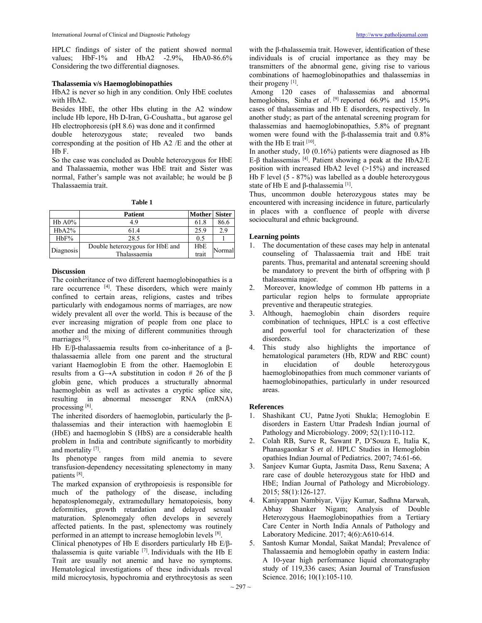HPLC findings of sister of the patient showed normal values; HbF-1% and HbA2 -2.9%, HbA0-86.6% Considering the two differential diagnoses.

# **Thalassemia v/s Haemoglobinopathies**

HbA2 is never so high in any condition. Only HbE coelutes with HbA2.

Besides HbE, the other Hbs eluting in the A2 window include Hb lepore, Hb D-Iran, G-Coushatta., but agarose gel Hb electrophoresis (pH 8.6) was done and it confirmed

double heterozygous state; revealed two bands corresponding at the position of Hb A2 /E and the other at Hb F.

So the case was concluded as Double heterozygous for HbE and Thalassaemia, mother was HbE trait and Sister was normal, Father's sample was not available; he would be β Thalassaemia trait.

| ank |  |
|-----|--|
|-----|--|

|           | Patient                         | <b>Mother</b> | <b>Sister</b> |
|-----------|---------------------------------|---------------|---------------|
| $Hb$ A0%  | 49                              | 61.8          | 86.6          |
| HbA2%     | 61.4                            | 25.9          | 2.9           |
| HbF%      | 28.5                            | 0.5           |               |
| Diagnosis | Double heterozygous for HbE and | HbE           | Normal        |
|           | Thalassaemia                    | trait         |               |

# **Discussion**

The coinheritance of two different haemoglobinopathies is a rare occurrence [4]. These disorders, which were mainly confined to certain areas, religions, castes and tribes particularly with endogamous norms of marriages, are now widely prevalent all over the world. This is because of the ever increasing migration of people from one place to another and the mixing of different communities through marriages [5].

Hb E/β-thalassaemia results from co-inheritance of a βthalassaemia allele from one parent and the structural variant Haemoglobin E from the other. Haemoglobin E results from a G→A substitution in codon # 26 of the β globin gene, which produces a structurally abnormal haemoglobin as well as activates a cryptic splice site, resulting in abnormal messenger RNA (mRNA) processing [6].

The inherited disorders of haemoglobin, particularly the βthalassemias and their interaction with haemoglobin E (HbE) and haemoglobin S (HbS) are a considerable health problem in India and contribute significantly to morbidity and mortality [7].

Its phenotype ranges from mild anemia to severe transfusion-dependency necessitating splenectomy in many patients [8].

The marked expansion of erythropoiesis is responsible for much of the pathology of the disease, including hepatosplenomegaly, extramedullary hematopoiesis, bony deformities, growth retardation and delayed sexual maturation. Splenomegaly often develops in severely affected patients. In the past, splenectomy was routinely performed in an attempt to increase hemoglobin levels [8].

Clinical phenotypes of Hb E disorders particularly Hb E/βthalassemia is quite variable [7]. Individuals with the Hb E Trait are usually not anemic and have no symptoms. Hematological investigations of these individuals reveal mild microcytosis, hypochromia and erythrocytosis as seen

with the β-thalassemia trait. However, identification of these individuals is of crucial importance as they may be transmitters of the abnormal gene, giving rise to various combinations of haemoglobinopathies and thalassemias in their progeny [1].

 Among 120 cases of thalassemias and abnormal hemoglobins, Sinha *et al.* <sup>[9]</sup> reported 66.9% and 15.9% cases of thalassemias and Hb E disorders, respectively. In another study; as part of the antenatal screening program for thalassemias and haemoglobinopathies, 5.8% of pregnant women were found with the β-thalassemia trait and 0.8% with the Hb E trait [10].

In another study, 10 (0.16%) patients were diagnosed as Hb E-β thalassemias [4]. Patient showing a peak at the HbA2/E position with increased HbA2 level (>15%) and increased Hb F level (5 - 87%) was labelled as a double heterozygous state of Hb E and β-thalassemia [1].

Thus, uncommon double heterozygous states may be encountered with increasing incidence in future, particularly in places with a confluence of people with diverse sociocultural and ethnic background.

# **Learning points**

- 1. The documentation of these cases may help in antenatal counseling of Thalassaemia trait and HbE trait parents. Thus, premarital and antenatal screening should be mandatory to prevent the birth of offspring with  $\beta$ thalassemia major.
- 2. Moreover, knowledge of common Hb patterns in a particular region helps to formulate appropriate preventive and therapeutic strategies.
- 3. Although, haemoglobin chain disorders require combination of techniques, HPLC is a cost effective and powerful tool for characterization of these disorders.
- 4. This study also highlights the importance of hematological parameters (Hb, RDW and RBC count) in elucidation of double heterozygous haemoglobinopathies from much commoner variants of haemoglobinopathies, particularly in under resourced areas.

# **References**

- 1. Shashikant CU, Patne Jyoti Shukla; Hemoglobin E disorders in Eastern Uttar Pradesh Indian journal of Pathology and Microbiology. 2009; 52(1):110-112.
- 2. Colah RB, Surve R, Sawant P, D'Souza E, Italia K, Phanasgaonkar S *et al*. HPLC Studies in Hemoglobin opathies Indian Journal of Pediatrics. 2007; 74:61-66.
- 3. Sanjeev Kumar Gupta, Jasmita Dass, Renu Saxena; A rare case of double heterozygous state for HbD and HbE; Indian Journal of Pathology and Microbiology. 2015; 58(1):126-127.
- 4. Kaniyappan Nambiyar, Vijay Kumar, Sadhna Marwah, Abhay Shanker Nigam; Analysis of Double Heterozygous Haemoglobinopathies from a Tertiary Care Center in North India Annals of Pathology and Laboratory Medicine. 2017; 4(6):A610-614.
- 5. Santosh Kumar Mondal, Saikat Mandal; Prevalence of Thalassaemia and hemoglobin opathy in eastern India: A 10-year high performance liquid chromatography study of 119,336 cases; Asian Journal of Transfusion Science. 2016; 10(1):105-110.